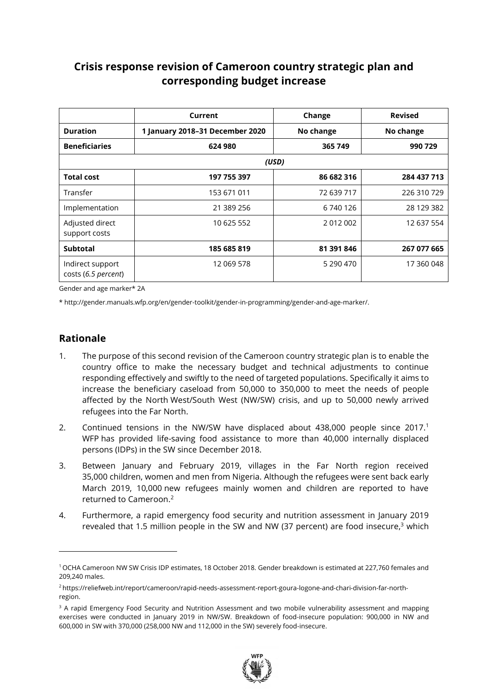# **Crisis response revision of Cameroon country strategic plan and corresponding budget increase**

|                                         | Current                         | Change     | <b>Revised</b> |
|-----------------------------------------|---------------------------------|------------|----------------|
| <b>Duration</b>                         | 1 January 2018-31 December 2020 | No change  | No change      |
| <b>Beneficiaries</b>                    | 624 980                         | 365 749    | 990 729        |
|                                         |                                 | (USD)      |                |
| <b>Total cost</b>                       | 197 755 397                     | 86 682 316 | 284 437 713    |
| Transfer                                | 153 671 011                     | 72 639 717 | 226 310 729    |
| Implementation                          | 21 389 256                      | 6 740 126  | 28 129 382     |
| Adjusted direct<br>support costs        | 10 625 552                      | 2012002    | 12 637 554     |
| <b>Subtotal</b>                         | 185 685 819                     | 81 391 846 | 267 077 665    |
| Indirect support<br>costs (6.5 percent) | 12 069 578                      | 5 290 470  | 17 360 048     |

Gender and age marker\* 2A

\* http://gender.manuals.wfp.org/en/gender-toolkit/gender-in-programming/gender-and-age-marker/.

## **Rationale**

 $\overline{a}$ 

- 1. The purpose of this second revision of the Cameroon country strategic plan is to enable the country office to make the necessary budget and technical adjustments to continue responding effectively and swiftly to the need of targeted populations. Specifically it aims to increase the beneficiary caseload from 50,000 to 350,000 to meet the needs of people affected by the North West/South West (NW/SW) crisis, and up to 50,000 newly arrived refugees into the Far North.
- 2. Continued tensions in the NW/SW have displaced about 438,000 people since 2017. 1 WFP has provided life-saving food assistance to more than 40,000 internally displaced persons (IDPs) in the SW since December 2018.
- 3. Between January and February 2019, villages in the Far North region received 35,000 children, women and men from Nigeria. Although the refugees were sent back early March 2019, 10,000 new refugees mainly women and children are reported to have returned to Cameroon.<sup>2</sup>
- 4. Furthermore, a rapid emergency food security and nutrition assessment in January 2019 revealed that 1.5 million people in the SW and NW (37 percent) are food insecure,<sup>3</sup> which

<sup>&</sup>lt;sup>3</sup> A rapid Emergency Food Security and Nutrition Assessment and two mobile vulnerability assessment and mapping exercises were conducted in January 2019 in NW/SW. Breakdown of food-insecure population: 900,000 in NW and 600,000 in SW with 370,000 (258,000 NW and 112,000 in the SW) severely food-insecure.



<sup>1</sup> OCHA Cameroon NW SW Crisis IDP estimates, 18 October 2018. Gender breakdown is estimated at 227,760 females and 209,240 males.

<sup>2</sup> [https://reliefweb.int/report/cameroon/rapid-needs-assessment-report-goura-logone-and-chari-division-far-north](https://reliefweb.int/report/cameroon/rapid-needs-assessment-report-goura-logone-and-chari-division-far-north-region)[region.](https://reliefweb.int/report/cameroon/rapid-needs-assessment-report-goura-logone-and-chari-division-far-north-region)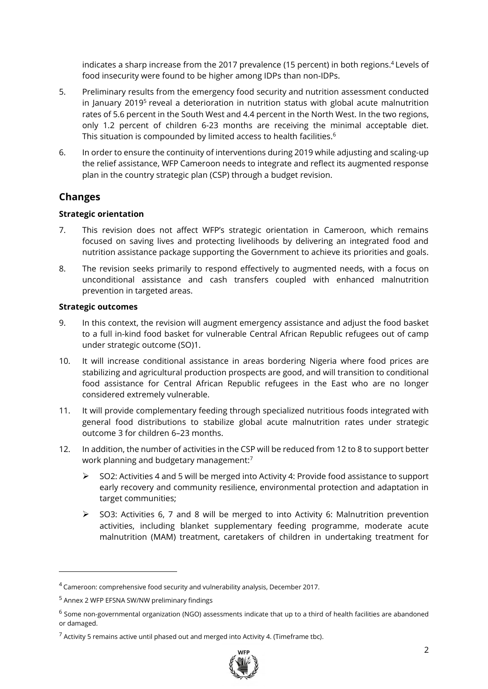indicates a sharp increase from the 2017 prevalence (15 percent) in both regions. <sup>4</sup> Levels of food insecurity were found to be higher among IDPs than non-IDPs.

- 5. Preliminary results from the emergency food security and nutrition assessment conducted in January 2019<sup>5</sup> reveal a deterioration in nutrition status with global acute malnutrition rates of 5.6 percent in the South West and 4.4 percent in the North West. In the two regions, only 1.2 percent of children 6-23 months are receiving the minimal acceptable diet. This situation is compounded by limited access to health facilities. $\rm ^6$
- 6. In order to ensure the continuity of interventions during 2019 while adjusting and scaling-up the relief assistance, WFP Cameroon needs to integrate and reflect its augmented response plan in the country strategic plan (CSP) through a budget revision.

# **Changes**

#### **Strategic orientation**

- 7. This revision does not affect WFP's strategic orientation in Cameroon, which remains focused on saving lives and protecting livelihoods by delivering an integrated food and nutrition assistance package supporting the Government to achieve its priorities and goals.
- 8. The revision seeks primarily to respond effectively to augmented needs, with a focus on unconditional assistance and cash transfers coupled with enhanced malnutrition prevention in targeted areas.

#### **Strategic outcomes**

- 9. In this context, the revision will augment emergency assistance and adjust the food basket to a full in-kind food basket for vulnerable Central African Republic refugees out of camp under strategic outcome (SO)1.
- 10. It will increase conditional assistance in areas bordering Nigeria where food prices are stabilizing and agricultural production prospects are good, and will transition to conditional food assistance for Central African Republic refugees in the East who are no longer considered extremely vulnerable.
- 11. It will provide complementary feeding through specialized nutritious foods integrated with general food distributions to stabilize global acute malnutrition rates under strategic outcome 3 for children 6–23 months.
- 12. In addition, the number of activities in the CSP will be reduced from 12 to 8 to support better work planning and budgetary management:<sup>7</sup>
	- $\triangleright$  SO2: Activities 4 and 5 will be merged into Activity 4: Provide food assistance to support early recovery and community resilience, environmental protection and adaptation in target communities;
	- $\triangleright$  SO3: Activities 6, 7 and 8 will be merged to into Activity 6: Malnutrition prevention activities, including blanket supplementary feeding programme, moderate acute malnutrition (MAM) treatment, caretakers of children in undertaking treatment for

-

 $7$  Activity 5 remains active until phased out and merged into Activity 4. (Timeframe tbc).



<sup>4</sup> Cameroon: comprehensive food security and vulnerability analysis, December 2017.

<sup>5</sup> Annex 2 WFP EFSNA SW/NW preliminary findings

<sup>&</sup>lt;sup>6</sup> Some non-governmental organization (NGO) assessments indicate that up to a third of health facilities are abandoned or damaged.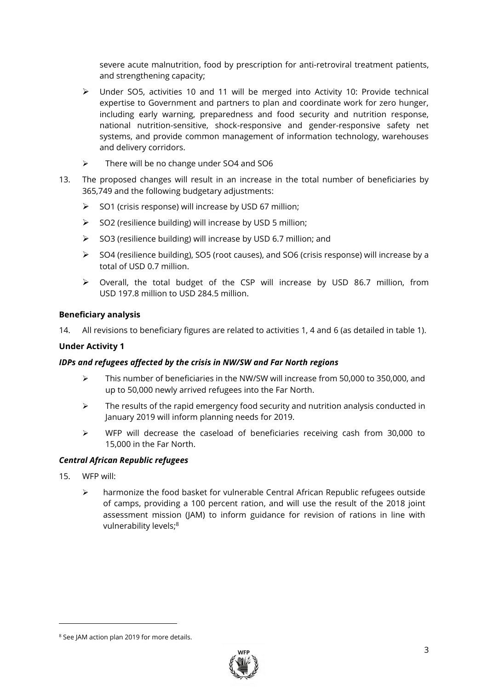severe acute malnutrition, food by prescription for anti-retroviral treatment patients, and strengthening capacity;

- ➢ Under SO5, activities 10 and 11 will be merged into Activity 10: Provide technical expertise to Government and partners to plan and coordinate work for zero hunger, including early warning, preparedness and food security and nutrition response, national nutrition-sensitive, shock-responsive and gender-responsive safety net systems, and provide common management of information technology, warehouses and delivery corridors.
- ➢ There will be no change under SO4 and SO6
- 13. The proposed changes will result in an increase in the total number of beneficiaries by 365,749 and the following budgetary adjustments:
	- ➢ SO1 (crisis response) will increase by USD 67 million;
	- ➢ SO2 (resilience building) will increase by USD 5 million;
	- ➢ SO3 (resilience building) will increase by USD 6.7 million; and
	- ➢ SO4 (resilience building), SO5 (root causes), and SO6 (crisis response) will increase by a total of USD 0.7 million.
	- ➢ Overall, the total budget of the CSP will increase by USD 86.7 million, from USD 197.8 million to USD 284.5 million.

#### **Beneficiary analysis**

14. All revisions to beneficiary figures are related to activities 1, 4 and 6 (as detailed in table 1).

#### **Under Activity 1**

#### *IDPs and refugees affected by the crisis in NW/SW and Far North regions*

- $\triangleright$  This number of beneficiaries in the NW/SW will increase from 50,000 to 350,000, and up to 50,000 newly arrived refugees into the Far North.
- ➢ The results of the rapid emergency food security and nutrition analysis conducted in January 2019 will inform planning needs for 2019.
- ➢ WFP will decrease the caseload of beneficiaries receiving cash from 30,000 to 15,000 in the Far North.

#### *Central African Republic refugees*

15. WFP will:

 $\overline{a}$ 

➢ harmonize the food basket for vulnerable Central African Republic refugees outside of camps, providing a 100 percent ration, and will use the result of the 2018 joint assessment mission (JAM) to inform guidance for revision of rations in line with vulnerability levels; 8

<sup>8</sup> See JAM action plan 2019 for more details.

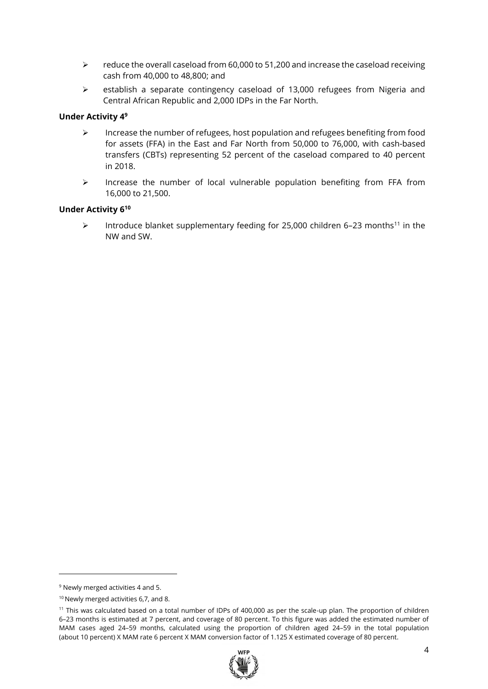- $\triangleright$  reduce the overall caseload from 60,000 to 51,200 and increase the caseload receiving cash from 40,000 to 48,800; and
- ➢ establish a separate contingency caseload of 13,000 refugees from Nigeria and Central African Republic and 2,000 IDPs in the Far North.

#### **Under Activity 4<sup>9</sup>**

- $\triangleright$  Increase the number of refugees, host population and refugees benefiting from food for assets (FFA) in the East and Far North from 50,000 to 76,000, with cash-based transfers (CBTs) representing 52 percent of the caseload compared to 40 percent in 2018.
- ➢ Increase the number of local vulnerable population benefiting from FFA from 16,000 to 21,500.

#### **Under Activity 6 10**

 $\triangleright$  Introduce blanket supplementary feeding for 25,000 children 6-23 months<sup>11</sup> in the NW and SW.

-

<sup>&</sup>lt;sup>11</sup> This was calculated based on a total number of IDPs of 400,000 as per the scale-up plan. The proportion of children 6–23 months is estimated at 7 percent, and coverage of 80 percent. To this figure was added the estimated number of MAM cases aged 24–59 months, calculated using the proportion of children aged 24–59 in the total population (about 10 percent) X MAM rate 6 percent X MAM conversion factor of 1.125 X estimated coverage of 80 percent.



<sup>9</sup> Newly merged activities 4 and 5.

<sup>&</sup>lt;sup>10</sup> Newly merged activities 6,7, and 8.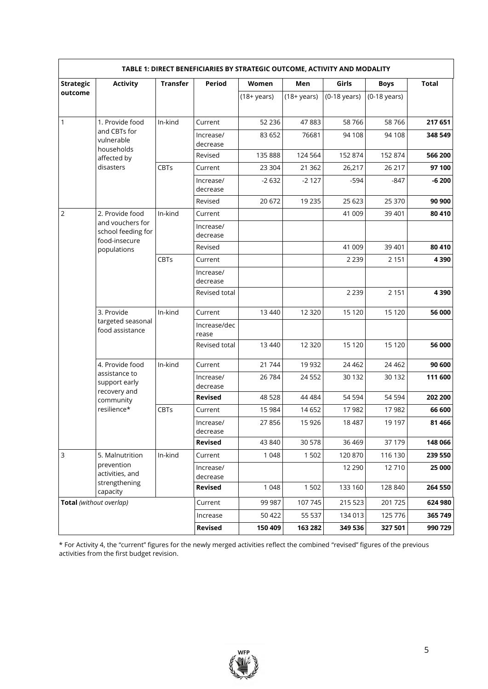| TABLE 1: DIRECT BENEFICIARIES BY STRATEGIC OUTCOME, ACTIVITY AND MODALITY |                                                         |                 |                       |                |                |                |                |              |
|---------------------------------------------------------------------------|---------------------------------------------------------|-----------------|-----------------------|----------------|----------------|----------------|----------------|--------------|
| <b>Strategic</b>                                                          | <b>Activity</b>                                         | <b>Transfer</b> | <b>Period</b>         | Women          | Men            | Girls          | <b>Boys</b>    | <b>Total</b> |
| outcome                                                                   |                                                         |                 |                       | $(18 + years)$ | $(18 + years)$ | $(0-18$ years) | $(0-18$ years) |              |
| $\mathbf{1}$                                                              | 1. Provide food                                         | In-kind         | Current               | 52 2 36        | 47883          | 58766          | 58766          | 217 651      |
|                                                                           | and CBTs for<br>vulnerable<br>households                |                 | Increase/<br>decrease | 83 652         | 76681          | 94 108         | 94 108         | 348 549      |
|                                                                           | affected by                                             |                 | Revised               | 135 888        | 124 564        | 152 874        | 152 874        | 566 200      |
|                                                                           | disasters                                               | <b>CBTs</b>     | Current               | 23 304         | 21 3 6 2       | 26,217         | 26 217         | 97 100       |
|                                                                           |                                                         |                 | Increase/<br>decrease | $-2632$        | $-2127$        | $-594$         | $-847$         | $-6200$      |
|                                                                           |                                                         |                 | Revised               | 20 672         | 19 2 35        | 25 6 23        | 25 370         | 90 900       |
| $\overline{2}$                                                            | 2. Provide food                                         | In-kind         | Current               |                |                | 41 009         | 39 4 01        | 80 410       |
|                                                                           | and vouchers for<br>school feeding for<br>food-insecure |                 | Increase/<br>decrease |                |                |                |                |              |
|                                                                           | populations                                             |                 | Revised               |                |                | 41 009         | 39 401         | 80 410       |
|                                                                           |                                                         | <b>CBTs</b>     | Current               |                |                | 2 2 3 9        | 2 1 5 1        | 4390         |
|                                                                           |                                                         |                 | Increase/<br>decrease |                |                |                |                |              |
|                                                                           |                                                         |                 | Revised total         |                |                | 2 2 3 9        | 2 1 5 1        | 4 3 9 0      |
|                                                                           | 3. Provide                                              | In-kind         | Current               | 13 4 40        | 12 3 20        | 15 1 20        | 15 1 20        | 56 000       |
|                                                                           | targeted seasonal<br>food assistance                    |                 | Increase/dec<br>rease |                |                |                |                |              |
|                                                                           |                                                         |                 | Revised total         | 13 4 40        | 12 3 20        | 15 1 20        | 15 1 20        | 56 000       |
|                                                                           | 4. Provide food                                         | In-kind         | Current               | 21 744         | 19 9 32        | 24 4 62        | 24 4 62        | 90 600       |
|                                                                           | assistance to<br>support early<br>recovery and          |                 | Increase/<br>decrease | 26 784         | 24 5 52        | 30 132         | 30 1 32        | 111 600      |
|                                                                           | community                                               |                 | <b>Revised</b>        | 48 5 28        | 44 4 84        | 54 594         | 54 5 94        | 202 200      |
|                                                                           | resilience*                                             | <b>CBTs</b>     | Current               | 15 984         | 14 6 52        | 17982          | 17982          | 66 600       |
|                                                                           |                                                         |                 | Increase/<br>decrease | 27856          | 15 9 26        | 18 4 87        | 19 197         | 81 466       |
|                                                                           |                                                         |                 | <b>Revised</b>        | 43 840         | 30 578         | 36 469         | 37 179         | 148 066      |
| $\overline{3}$                                                            | 5. Malnutrition                                         | In-kind         | Current               | 1 0 4 8        | 1502           | 120 870        | 116 130        | 239 550      |
|                                                                           | prevention<br>activities, and                           |                 | Increase/<br>decrease |                |                | 12 2 9 0       | 12710          | 25 000       |
|                                                                           | strengthening<br>capacity                               |                 | <b>Revised</b>        | 1 0 4 8        | 1502           | 133 160        | 128 840        | 264 550      |
| Total (without overlap)                                                   |                                                         |                 | Current               | 99 987         | 107 745        | 215 523        | 201 725        | 624 980      |
|                                                                           |                                                         |                 | Increase              | 50 422         | 55 537         | 134 013        | 125 776        | 365 749      |
|                                                                           |                                                         |                 | <b>Revised</b>        | 150 409        | 163 282        | 349 536        | 327 501        | 990 729      |

\* For Activity 4, the "current" figures for the newly merged activities reflect the combined "revised" figures of the previous activities from the first budget revision.

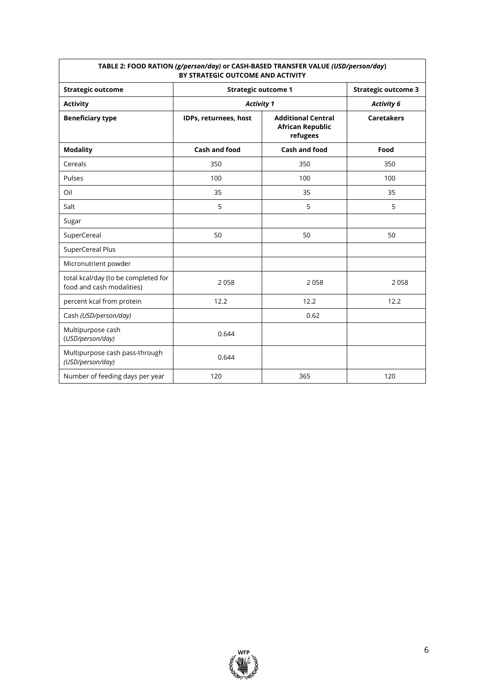| TABLE 2: FOOD RATION (g/person/day) or CASH-BASED TRANSFER VALUE (USD/person/day)<br>BY STRATEGIC OUTCOME AND ACTIVITY |                       |                                                                  |                                        |  |  |  |
|------------------------------------------------------------------------------------------------------------------------|-----------------------|------------------------------------------------------------------|----------------------------------------|--|--|--|
| <b>Strategic outcome</b>                                                                                               |                       | <b>Strategic outcome 1</b>                                       |                                        |  |  |  |
| <b>Activity</b>                                                                                                        | <b>Activity 1</b>     |                                                                  | <b>Activity 6</b><br><b>Caretakers</b> |  |  |  |
| <b>Beneficiary type</b>                                                                                                | IDPs, returnees, host | <b>Additional Central</b><br><b>African Republic</b><br>refugees |                                        |  |  |  |
| <b>Modality</b>                                                                                                        | Cash and food         | Cash and food                                                    | Food                                   |  |  |  |
| Cereals                                                                                                                | 350                   | 350                                                              | 350                                    |  |  |  |
| Pulses                                                                                                                 | 100                   | 100                                                              | 100                                    |  |  |  |
| Oil                                                                                                                    | 35                    | 35                                                               | 35                                     |  |  |  |
| Salt                                                                                                                   | 5                     | 5                                                                | 5                                      |  |  |  |
| Sugar                                                                                                                  |                       |                                                                  |                                        |  |  |  |
| SuperCereal                                                                                                            | 50                    | 50                                                               | 50                                     |  |  |  |
| SuperCereal Plus                                                                                                       |                       |                                                                  |                                        |  |  |  |
| Micronutrient powder                                                                                                   |                       |                                                                  |                                        |  |  |  |
| total kcal/day (to be completed for<br>food and cash modalities)                                                       | 2058                  | 2058                                                             | 2058                                   |  |  |  |
| percent kcal from protein                                                                                              | 12.2                  | 12.2                                                             | 12.2                                   |  |  |  |
| Cash (USD/person/day)                                                                                                  |                       | 0.62                                                             |                                        |  |  |  |
| Multipurpose cash<br>(USD/person/day)                                                                                  | 0.644                 |                                                                  |                                        |  |  |  |
| Multipurpose cash pass-through<br>(USD/person/day)                                                                     | 0.644                 |                                                                  |                                        |  |  |  |
| Number of feeding days per year                                                                                        | 120                   | 365                                                              | 120                                    |  |  |  |

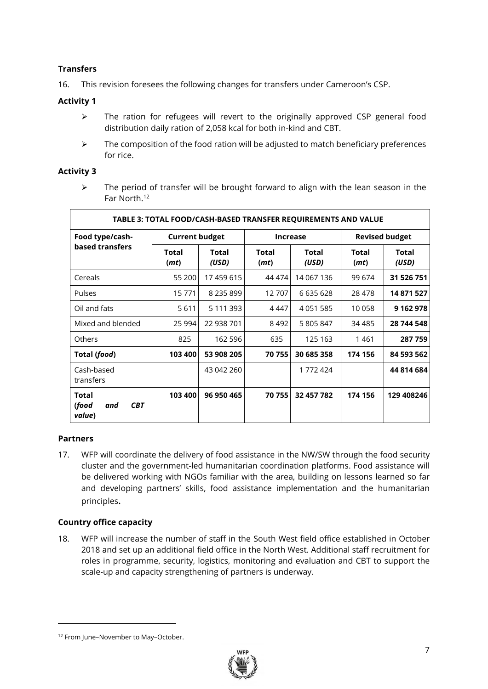#### **Transfers**

16. This revision foresees the following changes for transfers under Cameroon's CSP.

#### **Activity 1**

- ➢ The ration for refugees will revert to the originally approved CSP general food distribution daily ration of 2,058 kcal for both in-kind and CBT.
- $\triangleright$  The composition of the food ration will be adjusted to match beneficiary preferences for rice.

#### **Activity 3**

➢ The period of transfer will be brought forward to align with the lean season in the Far North. 12

| TABLE 3: TOTAL FOOD/CASH-BASED TRANSFER REQUIREMENTS AND VALUE |                       |                       |                      |                       |                       |                       |  |
|----------------------------------------------------------------|-----------------------|-----------------------|----------------------|-----------------------|-----------------------|-----------------------|--|
| Food type/cash-                                                | <b>Current budget</b> |                       | <b>Increase</b>      |                       | <b>Revised budget</b> |                       |  |
| based transfers                                                | <b>Total</b><br>(mt)  | <b>Total</b><br>(USD) | <b>Total</b><br>(mt) | <b>Total</b><br>(USD) | <b>Total</b><br>(mt)  | <b>Total</b><br>(USD) |  |
| Cereals                                                        | 55 200                | 17459615              | 44 474               | 14 067 136            | 99 674                | 31 526 751            |  |
| <b>Pulses</b>                                                  | 15771                 | 8 2 3 5 8 9 9         | 12707                | 6 635 628             | 28 478                | 14 871 527            |  |
| Oil and fats                                                   | 5611                  | 5 111 393             | 4 447                | 4 0 51 5 8 5          | 10 058                | 9 162 978             |  |
| Mixed and blended                                              | 25 994                | 22 938 701            | 8492                 | 5 805 847             | 34 485                | 28 744 548            |  |
| <b>Others</b>                                                  | 825                   | 162 596               | 635                  | 125 163               | 1461                  | 287 759               |  |
| Total (food)                                                   | 103 400               | 53 908 205            | 70 755               | 30 685 358            | 174 156               | 84 593 562            |  |
| Cash-based<br>transfers                                        |                       | 43 042 260            |                      | 1772424               |                       | 44 814 684            |  |
| <b>Total</b><br>(food<br><b>CBT</b><br>and<br>value)           | 103 400               | 96 950 465            | 70 755               | 32 457 782            | 174 156               | 129 408246            |  |

#### **Partners**

 $\overline{a}$ 

17. WFP will coordinate the delivery of food assistance in the NW/SW through the food security cluster and the government-led humanitarian coordination platforms. Food assistance will be delivered working with NGOs familiar with the area, building on lessons learned so far and developing partners' skills, food assistance implementation and the humanitarian principles.

#### **Country office capacity**

18. WFP will increase the number of staff in the South West field office established in October 2018 and set up an additional field office in the North West. Additional staff recruitment for roles in programme, security, logistics, monitoring and evaluation and CBT to support the scale-up and capacity strengthening of partners is underway.



<sup>&</sup>lt;sup>12</sup> From June-November to May-October.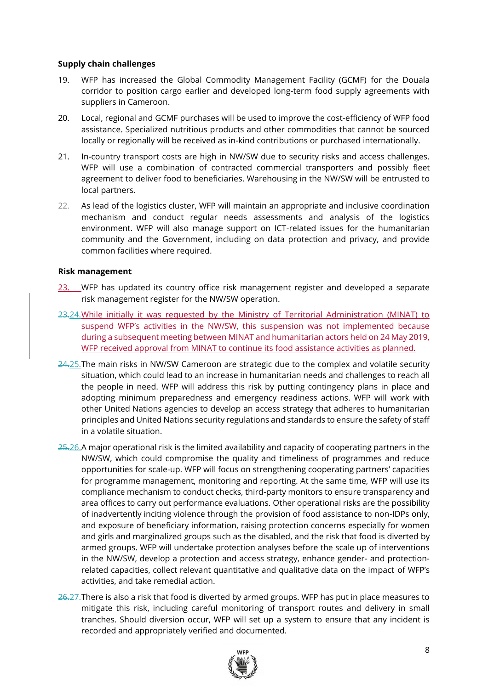#### **Supply chain challenges**

- 19. WFP has increased the Global Commodity Management Facility (GCMF) for the Douala corridor to position cargo earlier and developed long-term food supply agreements with suppliers in Cameroon.
- 20. Local, regional and GCMF purchases will be used to improve the cost-efficiency of WFP food assistance. Specialized nutritious products and other commodities that cannot be sourced locally or regionally will be received as in-kind contributions or purchased internationally.
- 21. In-country transport costs are high in NW/SW due to security risks and access challenges. WFP will use a combination of contracted commercial transporters and possibly fleet agreement to deliver food to beneficiaries. Warehousing in the NW/SW will be entrusted to local partners.
- 22. As lead of the logistics cluster, WFP will maintain an appropriate and inclusive coordination mechanism and conduct regular needs assessments and analysis of the logistics environment. WFP will also manage support on ICT-related issues for the humanitarian community and the Government, including on data protection and privacy, and provide common facilities where required.

#### **Risk management**

- 23. WFP has updated its country office risk management register and developed a separate risk management register for the NW/SW operation.
- 23.24.While initially it was requested by the Ministry of Territorial Administration (MINAT) to suspend WFP's activities in the NW/SW, this suspension was not implemented because during a subsequent meeting between MINAT and humanitarian actors held on 24 May 2019, WFP received approval from MINAT to continue its food assistance activities as planned.
- 24.25.The main risks in NW/SW Cameroon are strategic due to the complex and volatile security situation, which could lead to an increase in humanitarian needs and challenges to reach all the people in need. WFP will address this risk by putting contingency plans in place and adopting minimum preparedness and emergency readiness actions. WFP will work with other United Nations agencies to develop an access strategy that adheres to humanitarian principles and United Nations security regulations and standards to ensure the safety of staff in a volatile situation.
- $25.26$ . A major operational risk is the limited availability and capacity of cooperating partners in the NW/SW, which could compromise the quality and timeliness of programmes and reduce opportunities for scale-up. WFP will focus on strengthening cooperating partners' capacities for programme management, monitoring and reporting. At the same time, WFP will use its compliance mechanism to conduct checks, third-party monitors to ensure transparency and area offices to carry out performance evaluations. Other operational risks are the possibility of inadvertently inciting violence through the provision of food assistance to non-IDPs only, and exposure of beneficiary information, raising protection concerns especially for women and girls and marginalized groups such as the disabled, and the risk that food is diverted by armed groups. WFP will undertake protection analyses before the scale up of interventions in the NW/SW, develop a protection and access strategy, enhance gender- and protectionrelated capacities, collect relevant quantitative and qualitative data on the impact of WFP's activities, and take remedial action.
- $26.27$ . There is also a risk that food is diverted by armed groups. WFP has put in place measures to mitigate this risk, including careful monitoring of transport routes and delivery in small tranches. Should diversion occur, WFP will set up a system to ensure that any incident is recorded and appropriately verified and documented.

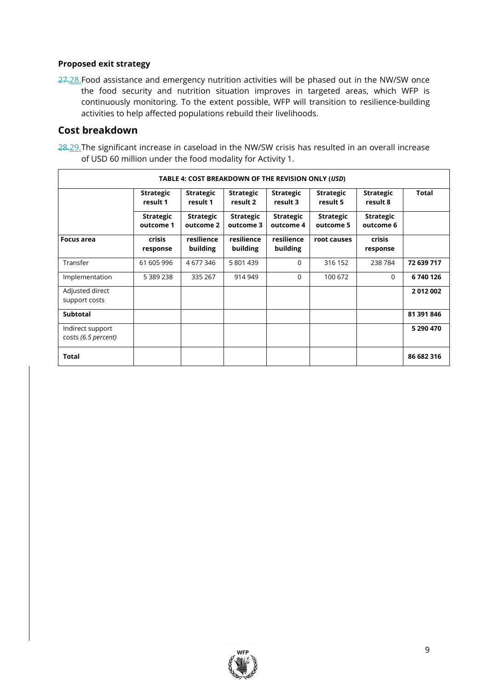#### **Proposed exit strategy**

27.28. Food assistance and emergency nutrition activities will be phased out in the NW/SW once the food security and nutrition situation improves in targeted areas, which WFP is continuously monitoring. To the extent possible, WFP will transition to resilience-building activities to help affected populations rebuild their livelihoods.

### **Cost breakdown**

28.29. The significant increase in caseload in the NW/SW crisis has resulted in an overall increase of USD 60 million under the food modality for Activity 1.

| TABLE 4: COST BREAKDOWN OF THE REVISION ONLY (USD) |                               |                               |                               |                               |                               |                               |              |
|----------------------------------------------------|-------------------------------|-------------------------------|-------------------------------|-------------------------------|-------------------------------|-------------------------------|--------------|
|                                                    | <b>Strategic</b><br>result 1  | <b>Strategic</b><br>result 1  | <b>Strategic</b><br>result 2  | <b>Strategic</b><br>result 3  | <b>Strategic</b><br>result 5  | <b>Strategic</b><br>result 8  | <b>Total</b> |
|                                                    | <b>Strategic</b><br>outcome 1 | <b>Strategic</b><br>outcome 2 | <b>Strategic</b><br>outcome 3 | <b>Strategic</b><br>outcome 4 | <b>Strategic</b><br>outcome 5 | <b>Strategic</b><br>outcome 6 |              |
| <b>Focus area</b>                                  | <b>crisis</b><br>response     | resilience<br>building        | resilience<br>building        | resilience<br>building        | root causes                   | <b>crisis</b><br>response     |              |
| Transfer                                           | 61 605 996                    | 4 677 346                     | 5 801 439                     | 0                             | 316 152                       | 238 784                       | 72 639 717   |
| Implementation                                     | 5 389 238                     | 335 267                       | 914 949                       | $\Omega$                      | 100 672                       | $\Omega$                      | 6740126      |
| Adjusted direct<br>support costs                   |                               |                               |                               |                               |                               |                               | 2012002      |
| <b>Subtotal</b>                                    |                               |                               |                               |                               |                               |                               | 81 391 846   |
| Indirect support<br>costs (6.5 percent)            |                               |                               |                               |                               |                               |                               | 5 290 470    |
| <b>Total</b>                                       |                               |                               |                               |                               |                               |                               | 86 682 316   |

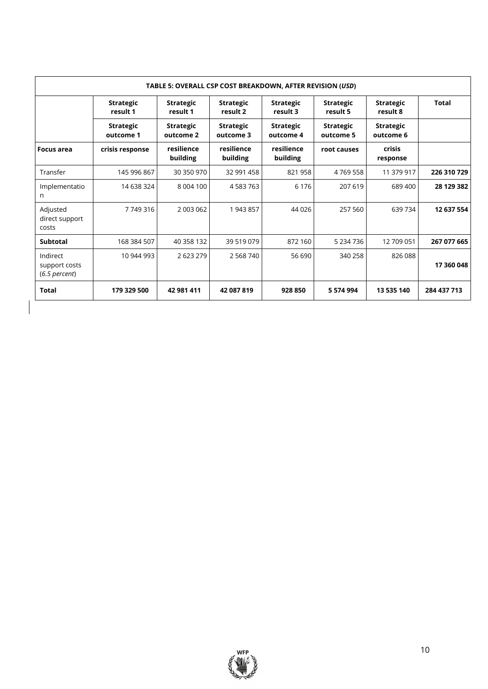| TABLE 5: OVERALL CSP COST BREAKDOWN, AFTER REVISION (USD) |                               |                               |                               |                               |                               |                               |              |
|-----------------------------------------------------------|-------------------------------|-------------------------------|-------------------------------|-------------------------------|-------------------------------|-------------------------------|--------------|
|                                                           | <b>Strategic</b><br>result 1  | <b>Strategic</b><br>result 1  | <b>Strategic</b><br>result 2  | <b>Strategic</b><br>result 3  | <b>Strategic</b><br>result 5  | <b>Strategic</b><br>result 8  | <b>Total</b> |
|                                                           | <b>Strategic</b><br>outcome 1 | <b>Strategic</b><br>outcome 2 | <b>Strategic</b><br>outcome 3 | <b>Strategic</b><br>outcome 4 | <b>Strategic</b><br>outcome 5 | <b>Strategic</b><br>outcome 6 |              |
| Focus area                                                | crisis response               | resilience<br>building        | resilience<br>building        | resilience<br>building        | root causes                   | <b>crisis</b><br>response     |              |
| Transfer                                                  | 145 996 867                   | 30 350 970                    | 32 991 458                    | 821 958                       | 4769558                       | 11 379 917                    | 226 310 729  |
| Implementatio<br>n                                        | 14 638 324                    | 8 004 100                     | 4 583 763                     | 6 1 7 6                       | 207 619                       | 689 400                       | 28 129 382   |
| Adjusted<br>direct support<br>costs                       | 7749316                       | 2 003 062                     | 1943857                       | 44 0 26                       | 257 560                       | 639 734                       | 12 637 554   |
| <b>Subtotal</b>                                           | 168 384 507                   | 40 358 132                    | 39 519 079                    | 872 160                       | 5 234 736                     | 12 709 051                    | 267 077 665  |
| Indirect<br>support costs<br>$(6.5$ percent)              | 10 944 993                    | 2 623 279                     | 2 5 6 8 7 4 0                 | 56 690                        | 340 258                       | 826 088                       | 17 360 048   |
| <b>Total</b>                                              | 179 329 500                   | 42 981 411                    | 42 087 819                    | 928 850                       | 5 574 994                     | 13 535 140                    | 284 437 713  |

 $\overline{\mathbf{a}}$ 

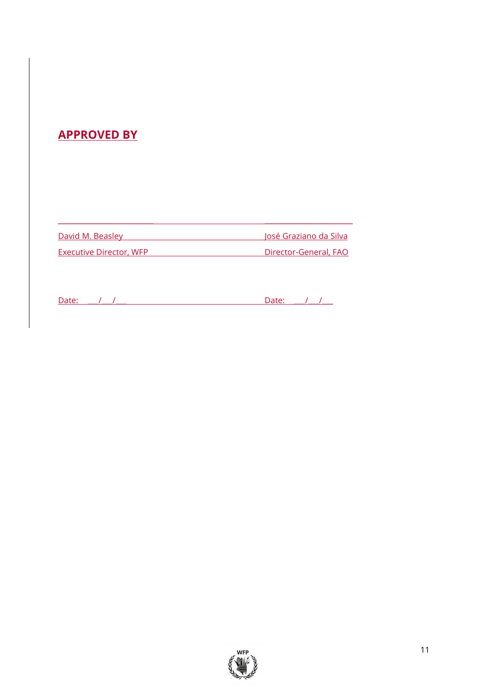# **APPROVED BY**

David M. Beasley **David M. Beasley** Executive Director, WFP Director-General, FAO

 $\overline{\phantom{a}}$  , and the set of the set of the set of the set of the set of the set of the set of the set of the set of the set of the set of the set of the set of the set of the set of the set of the set of the set of the s

| $\sim$<br>ттате<br>---- |  | __ |  |  |
|-------------------------|--|----|--|--|
|                         |  |    |  |  |